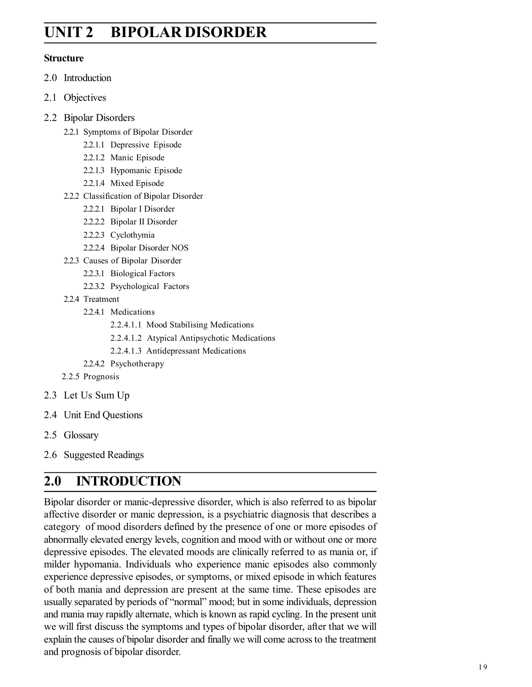# **UNIT 2 BIPOLAR DISORDER**

### **Structure**

- 2.0 Introduction
- 2.1 Objectives
- 2.2 Bipolar Disorders
	- 2.2.1 Symptoms of Bipolar Disorder
		- 2.2.1.1 Depressive Episode
		- 2.2.1.2 Manic Episode
		- 2.2.1.3 Hypomanic Episode
		- 2.2.1.4 Mixed Episode
	- 2.2.2 Classification of Bipolar Disorder
		- 2.2.2.1 Bipolar I Disorder
		- 2.2.2.2 Bipolar II Disorder
		- 2.2.2.3 Cyclothymia
		- 2.2.2.4 Bipolar Disorder NOS
	- 2.2.3 Causes of Bipolar Disorder
		- 2.2.3.1 Biological Factors
		- 2.2.3.2 Psychological Factors
	- 2.2.4 Treatment
		- 2.2.4.1 Medications
			- 2.2.4.1.1 Mood Stabilising Medications
			- 2.2.4.1.2 Atypical Antipsychotic Medications
			- 2.2.4.1.3 Antidepressant Medications
		- 2.2.4.2 Psychotherapy
	- 2.2.5 Prognosis
- 2.3 Let Us Sum Up
- 2.4 Unit End Questions
- 2.5 Glossary
- 2.6 Suggested Readings

# **2.0 INTRODUCTION**

Bipolar disorder or manic-depressive disorder, which is also referred to as bipolar affective disorder or manic depression, is a psychiatric diagnosis that describes a category of mood disorders defined by the presence of one or more episodes of abnormally elevated energy levels, cognition and mood with or without one or more depressive episodes. The elevated moods are clinically referred to as mania or, if milder hypomania. Individuals who experience manic episodes also commonly experience depressive episodes, or symptoms, or mixed episode in which features of both mania and depression are present at the same time. These episodes are usually separated by periods of "normal" mood; but in some individuals, depression and mania may rapidly alternate, which is known as rapid cycling. In the present unit we will first discuss the symptoms and types of bipolar disorder, after that we will explain the causes of bipolar disorder and finally we will come across to the treatment and prognosis of bipolar disorder.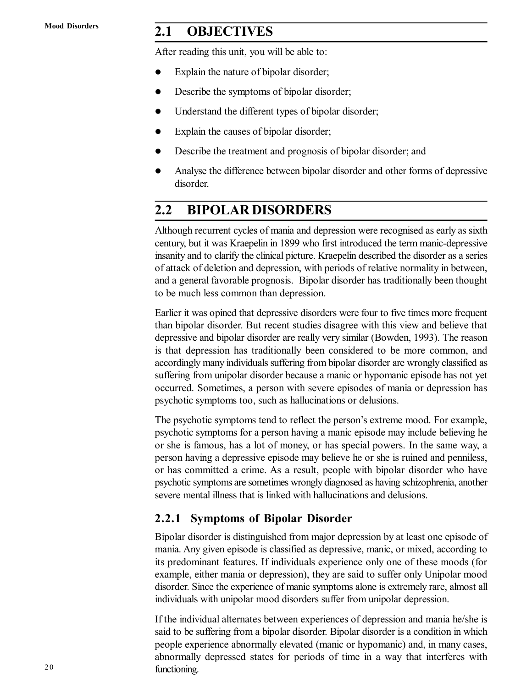# **2.1 OBJECTIVES**

After reading this unit, you will be able to:

- Explain the nature of bipolar disorder;
- Describe the symptoms of bipolar disorder;
- Understand the different types of bipolar disorder;
- Explain the causes of bipolar disorder;
- Describe the treatment and prognosis of bipolar disorder; and
- Analyse the difference between bipolar disorder and other forms of depressive disorder.

## **2.2 BIPOLAR DISORDERS**

Although recurrent cycles of mania and depression were recognised as early as sixth century, but it was Kraepelin in 1899 who first introduced the term manic-depressive insanity and to clarify the clinical picture. Kraepelin described the disorder as a series of attack of deletion and depression, with periods of relative normality in between, and a general favorable prognosis. Bipolar disorder has traditionally been thought to be much less common than depression.

Earlier it was opined that depressive disorders were four to five times more frequent than bipolar disorder. But recent studies disagree with this view and believe that depressive and bipolar disorder are really very similar (Bowden, 1993). The reason is that depression has traditionally been considered to be more common, and accordingly many individuals suffering from bipolar disorder are wrongly classified as suffering from unipolar disorder because a manic or hypomanic episode has not yet occurred. Sometimes, a person with severe episodes of mania or depression has psychotic symptoms too, such as hallucinations or delusions.

The psychotic symptoms tend to reflect the person's extreme mood. For example, psychotic symptoms for a person having a manic episode may include believing he or she is famous, has a lot of money, or has special powers. In the same way, a person having a depressive episode may believe he or she is ruined and penniless, or has committed a crime. As a result, people with bipolar disorder who have psychotic symptoms are sometimes wrongly diagnosed as having schizophrenia, another severe mental illness that is linked with hallucinations and delusions.

### **2.2.1 Symptoms of Bipolar Disorder**

Bipolar disorder is distinguished from major depression by at least one episode of mania. Any given episode is classified as depressive, manic, or mixed, according to its predominant features. If individuals experience only one of these moods (for example, either mania or depression), they are said to suffer only Unipolar mood disorder. Since the experience of manic symptoms alone is extremely rare, almost all individuals with unipolar mood disorders suffer from unipolar depression.

If the individual alternates between experiences of depression and mania he/she is said to be suffering from a bipolar disorder. Bipolar disorder is a condition in which people experience abnormally elevated (manic or hypomanic) and, in many cases, abnormally depressed states for periods of time in a way that interferes with functioning.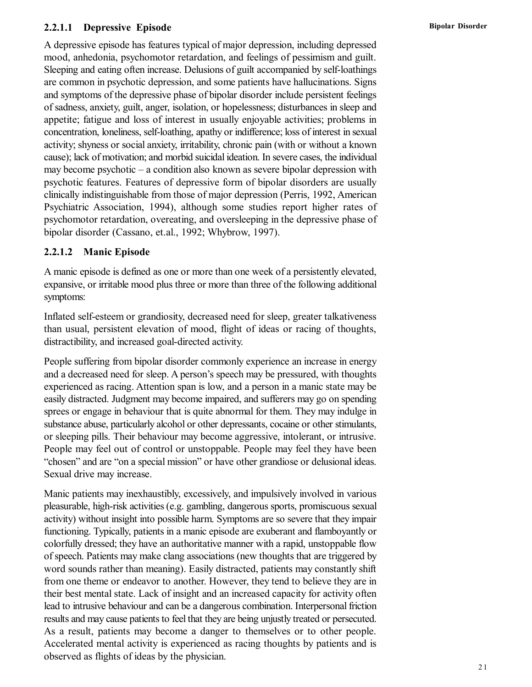#### **2.2.1.1 Depressive Episode**

A depressive episode has features typical of major depression, including depressed mood, anhedonia, psychomotor retardation, and feelings of pessimism and guilt. Sleeping and eating often increase. Delusions of guilt accompanied by self-loathings are common in psychotic depression, and some patients have hallucinations. Signs and symptoms of the depressive phase of bipolar disorder include persistent feelings of sadness, anxiety, guilt, anger, isolation, or hopelessness; disturbances in sleep and appetite; fatigue and loss of interest in usually enjoyable activities; problems in concentration, loneliness, self-loathing, apathy or indifference; loss of interest in sexual activity; shyness or social anxiety, irritability, chronic pain (with or without a known cause); lack of motivation; and morbid suicidal ideation. In severe cases, the individual may become psychotic – a condition also known as severe bipolar depression with psychotic features. Features of depressive form of bipolar disorders are usually clinically indistinguishable from those of major depression (Perris, 1992, American Psychiatric Association, 1994), although some studies report higher rates of psychomotor retardation, overeating, and oversleeping in the depressive phase of bipolar disorder (Cassano, et.al., 1992; Whybrow, 1997).

#### **2.2.1.2 Manic Episode**

A manic episode is defined as one or more than one week of a persistently elevated, expansive, or irritable mood plus three or more than three of the following additional symptoms:

Inflated self-esteem or grandiosity, decreased need for sleep, greater talkativeness than usual, persistent elevation of mood, flight of ideas or racing of thoughts, distractibility, and increased goal-directed activity.

People suffering from bipolar disorder commonly experience an increase in energy and a decreased need for sleep. A person's speech may be pressured, with thoughts experienced as racing. Attention span is low, and a person in a manic state may be easily distracted. Judgment may become impaired, and sufferers may go on spending sprees or engage in behaviour that is quite abnormal for them. They may indulge in substance abuse, particularly alcohol or other depressants, cocaine or other stimulants, or sleeping pills. Their behaviour may become aggressive, intolerant, or intrusive. People may feel out of control or unstoppable. People may feel they have been "chosen" and are "on a special mission" or have other grandiose or delusional ideas. Sexual drive may increase.

Manic patients may inexhaustibly, excessively, and impulsively involved in various pleasurable, high-risk activities (e.g. gambling, dangerous sports, promiscuous sexual activity) without insight into possible harm. Symptoms are so severe that they impair functioning. Typically, patients in a manic episode are exuberant and flamboyantly or colorfully dressed; they have an authoritative manner with a rapid, unstoppable flow of speech. Patients may make clang associations (new thoughts that are triggered by word sounds rather than meaning). Easily distracted, patients may constantly shift from one theme or endeavor to another. However, they tend to believe they are in their best mental state. Lack of insight and an increased capacity for activity often lead to intrusive behaviour and can be a dangerous combination. Interpersonal friction results and may cause patients to feel that they are being unjustly treated or persecuted. As a result, patients may become a danger to themselves or to other people. Accelerated mental activity is experienced as racing thoughts by patients and is observed as flights of ideas by the physician.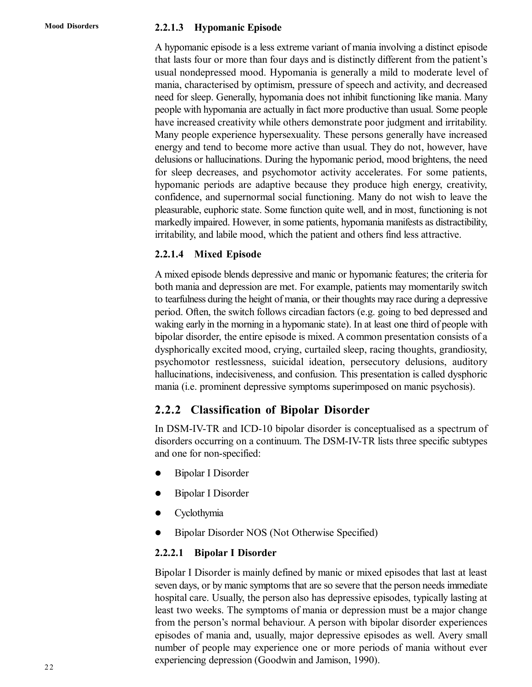#### **2.2.1.3 Hypomanic Episode**

A hypomanic episode is a less extreme variant of mania involving a distinct episode that lasts four or more than four days and is distinctly different from the patient's usual nondepressed mood. Hypomania is generally a mild to moderate level of mania, characterised by optimism, pressure of speech and activity, and decreased need for sleep. Generally, hypomania does not inhibit functioning like mania. Many people with hypomania are actually in fact more productive than usual. Some people have increased creativity while others demonstrate poor judgment and irritability. Many people experience hypersexuality. These persons generally have increased energy and tend to become more active than usual. They do not, however, have delusions or hallucinations. During the hypomanic period, mood brightens, the need for sleep decreases, and psychomotor activity accelerates. For some patients, hypomanic periods are adaptive because they produce high energy, creativity, confidence, and supernormal social functioning. Many do not wish to leave the pleasurable, euphoric state. Some function quite well, and in most, functioning is not markedly impaired. However, in some patients, hypomania manifests as distractibility, irritability, and labile mood, which the patient and others find less attractive.

#### **2.2.1.4 Mixed Episode**

A mixed episode blends depressive and manic or hypomanic features; the criteria for both mania and depression are met. For example, patients may momentarily switch to tearfulness during the height of mania, or their thoughts may race during a depressive period. Often, the switch follows circadian factors (e.g. going to bed depressed and waking early in the morning in a hypomanic state). In at least one third of people with bipolar disorder, the entire episode is mixed. A common presentation consists of a dysphorically excited mood, crying, curtailed sleep, racing thoughts, grandiosity, psychomotor restlessness, suicidal ideation, persecutory delusions, auditory hallucinations, indecisiveness, and confusion. This presentation is called dysphoric mania (i.e. prominent depressive symptoms superimposed on manic psychosis).

### **2.2.2 Classification of Bipolar Disorder**

In DSM-IV-TR and ICD-10 bipolar disorder is conceptualised as a spectrum of disorders occurring on a continuum. The DSM-IV-TR lists three specific subtypes and one for non-specified:

- Bipolar I Disorder
- Bipolar I Disorder
- Cyclothymia
- Bipolar Disorder NOS (Not Otherwise Specified)

#### **2.2.2.1 Bipolar I Disorder**

Bipolar I Disorder is mainly defined by manic or mixed episodes that last at least seven days, or by manic symptoms that are so severe that the person needs immediate hospital care. Usually, the person also has depressive episodes, typically lasting at least two weeks. The symptoms of mania or depression must be a major change from the person's normal behaviour. A person with bipolar disorder experiences episodes of mania and, usually, major depressive episodes as well. Avery small number of people may experience one or more periods of mania without ever experiencing depression (Goodwin and Jamison, 1990).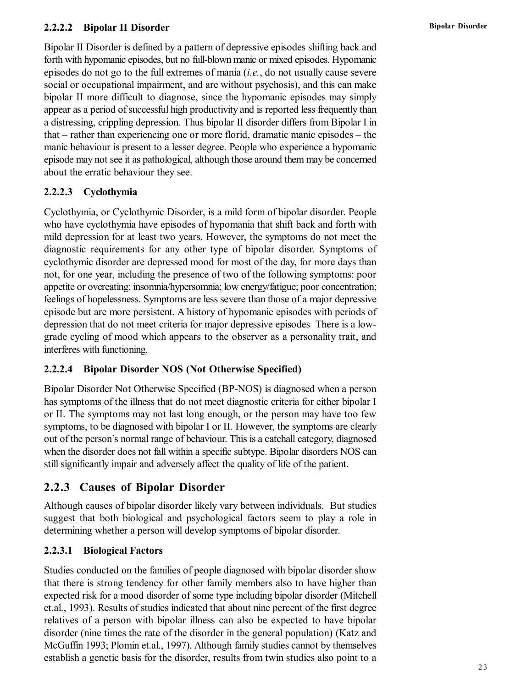Bipolar II Disorder is defined by a pattern of depressive episodes shifting back and forth with hypomanic episodes, but no full-blown manic or mixed episodes. Hypomanic episodes do not go to the full extremes of mania (*i.e.*, do not usually cause severe social or occupational impairment, and are without psychosis), and this can make bipolar II more difficult to diagnose, since the hypomanic episodes may simply appear as a period of successful high productivity and is reported less frequently than a distressing, crippling depression. Thus bipolar II disorder differs from Bipolar I in that – rather than experiencing one or more florid, dramatic manic episodes – the manic behaviour is present to a lesser degree. People who experience a hypomanic episode may not see it as pathological, although those around them may be concerned about the erratic behaviour they see.

### **2.2.2.3 Cyclothymia**

Cyclothymia, or Cyclothymic Disorder, is a mild form of bipolar disorder. People who have cyclothymia have episodes of hypomania that shift back and forth with mild depression for at least two years. However, the symptoms do not meet the diagnostic requirements for any other type of bipolar disorder. Symptoms of cyclothymic disorder are depressed mood for most of the day, for more days than not, for one year, including the presence of two of the following symptoms: poor appetite or overeating; insomnia/hypersomnia; low energy/fatigue; poor concentration; feelings of hopelessness. Symptoms are less severe than those of a major depressive episode but are more persistent. A history of hypomanic episodes with periods of depression that do not meet criteria for major depressive episodes There is a lowgrade cycling of mood which appears to the observer as a personality trait, and interferes with functioning.

### **2.2.2.4 Bipolar Disorder NOS (Not Otherwise Specified)**

Bipolar Disorder Not Otherwise Specified (BP-NOS) is diagnosed when a person has symptoms of the illness that do not meet diagnostic criteria for either bipolar I or II. The symptoms may not last long enough, or the person may have too few symptoms, to be diagnosed with bipolar I or II. However, the symptoms are clearly out of the person's normal range of behaviour. This is a catchall category, diagnosed when the disorder does not fall within a specific subtype. Bipolar disorders NOS can still significantly impair and adversely affect the quality of life of the patient.

### **2.2.3 Causes of Bipolar Disorder**

Although causes of bipolar disorder likely vary between individuals. But studies suggest that both biological and psychological factors seem to play a role in determining whether a person will develop symptoms of bipolar disorder.

### **2.2.3.1 Biological Factors**

Studies conducted on the families of people diagnosed with bipolar disorder show that there is strong tendency for other family members also to have higher than expected risk for a mood disorder of some type including bipolar disorder (Mitchell et.al., 1993). Results of studies indicated that about nine percent of the first degree relatives of a person with bipolar illness can also be expected to have bipolar disorder (nine times the rate of the disorder in the general population) (Katz and McGuffin 1993; Plomin et.al., 1997). Although family studies cannot by themselves establish a genetic basis for the disorder, results from twin studies also point to a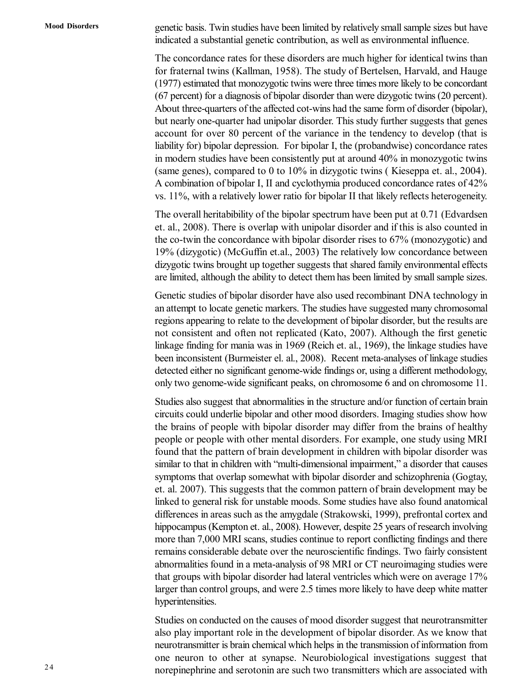genetic basis. Twin studies have been limited by relatively small sample sizes but have indicated a substantial genetic contribution, as well as environmental influence.

The concordance rates for these disorders are much higher for identical twins than for fraternal twins (Kallman, 1958). The study of Bertelsen, Harvald, and Hauge (1977) estimated that monozygotic twins were three times more likely to be concordant (67 percent) for a diagnosis of bipolar disorder than were dizygotic twins (20 percent). About three-quarters of the affected cot-wins had the same form of disorder (bipolar), but nearly one-quarter had unipolar disorder. This study further suggests that genes account for over 80 percent of the variance in the tendency to develop (that is liability for) bipolar depression. For bipolar I, the (probandwise) concordance rates in modern studies have been consistently put at around 40% in monozygotic twins (same genes), compared to 0 to 10% in dizygotic twins ( Kieseppa et. al., 2004). A combination of bipolar I, II and cyclothymia produced concordance rates of 42% vs. 11%, with a relatively lower ratio for bipolar II that likely reflects heterogeneity.

The overall heritabibility of the bipolar spectrum have been put at 0.71 (Edvardsen et. al., 2008). There is overlap with unipolar disorder and if this is also counted in the co-twin the concordance with bipolar disorder rises to 67% (monozygotic) and 19% (dizygotic) (McGuffin et.al., 2003) The relatively low concordance between dizygotic twins brought up together suggests that shared family environmental effects are limited, although the ability to detect them has been limited by small sample sizes.

Genetic studies of bipolar disorder have also used recombinant DNA technology in an attempt to locate genetic markers. The studies have suggested many chromosomal regions appearing to relate to the development of bipolar disorder, but the results are not consistent and often not replicated (Kato, 2007). Although the first genetic linkage finding for mania was in 1969 (Reich et. al., 1969), the linkage studies have been inconsistent (Burmeister el. al., 2008). Recent meta-analyses of linkage studies detected either no significant genome-wide findings or, using a different methodology, only two genome-wide significant peaks, on chromosome 6 and on chromosome 11.

Studies also suggest that abnormalities in the structure and/or function of certain brain circuits could underlie bipolar and other mood disorders. Imaging studies show how the brains of people with bipolar disorder may differ from the brains of healthy people or people with other mental disorders. For example, one study using MRI found that the pattern of brain development in children with bipolar disorder was similar to that in children with "multi-dimensional impairment," a disorder that causes symptoms that overlap somewhat with bipolar disorder and schizophrenia (Gogtay, et. al. 2007). This suggests that the common pattern of brain development may be linked to general risk for unstable moods. Some studies have also found anatomical differences in areas such as the amygdale (Strakowski, 1999), prefrontal cortex and hippocampus (Kempton et. al., 2008). However, despite 25 years of research involving more than 7,000 MRI scans, studies continue to report conflicting findings and there remains considerable debate over the neuroscientific findings. Two fairly consistent abnormalities found in a meta-analysis of 98 MRI or CT neuroimaging studies were that groups with bipolar disorder had lateral ventricles which were on average 17% larger than control groups, and were 2.5 times more likely to have deep white matter hyperintensities.

Studies on conducted on the causes of mood disorder suggest that neurotransmitter also play important role in the development of bipolar disorder. As we know that neurotransmitter is brain chemical which helps in the transmission of information from one neuron to other at synapse. Neurobiological investigations suggest that norepinephrine and serotonin are such two transmitters which are associated with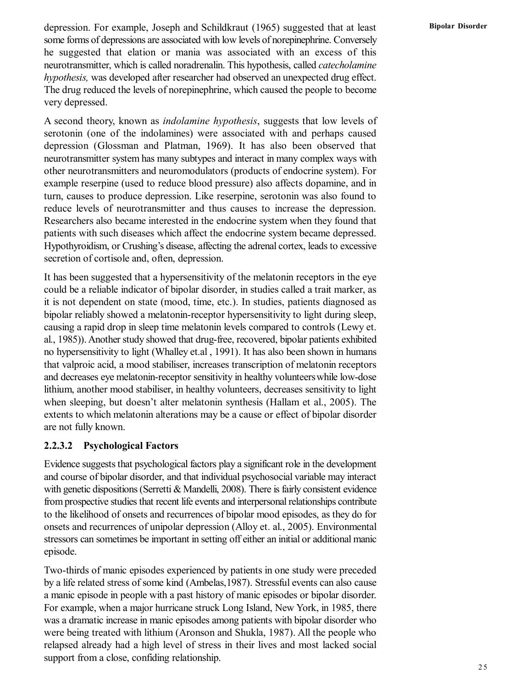depression. For example, Joseph and Schildkraut (1965) suggested that at least some forms of depressions are associated with low levels of norepinephrine. Conversely he suggested that elation or mania was associated with an excess of this neurotransmitter, which is called noradrenalin. This hypothesis, called *catecholamine hypothesis,* was developed after researcher had observed an unexpected drug effect. The drug reduced the levels of norepinephrine, which caused the people to become very depressed.

A second theory, known as *indolamine hypothesis*, suggests that low levels of serotonin (one of the indolamines) were associated with and perhaps caused depression (Glossman and Platman, 1969). It has also been observed that neurotransmitter system has many subtypes and interact in many complex ways with other neurotransmitters and neuromodulators (products of endocrine system). For example reserpine (used to reduce blood pressure) also affects dopamine, and in turn, causes to produce depression. Like reserpine, serotonin was also found to reduce levels of neurotransmitter and thus causes to increase the depression. Researchers also became interested in the endocrine system when they found that patients with such diseases which affect the endocrine system became depressed. Hypothyroidism, or Crushing's disease, affecting the adrenal cortex, leads to excessive secretion of cortisole and, often, depression.

It has been suggested that a hypersensitivity of the melatonin receptors in the eye could be a reliable indicator of bipolar disorder, in studies called a trait marker, as it is not dependent on state (mood, time, etc.). In studies, patients diagnosed as bipolar reliably showed a melatonin-receptor hypersensitivity to light during sleep, causing a rapid drop in sleep time melatonin levels compared to controls (Lewy et. al., 1985)). Another study showed that drug-free, recovered, bipolar patients exhibited no hypersensitivity to light (Whalley et.al , 1991). It has also been shown in humans that valproic acid, a mood stabiliser, increases transcription of melatonin receptors and decreases eye melatonin-receptor sensitivity in healthy volunteerswhile low-dose lithium, another mood stabiliser, in healthy volunteers, decreases sensitivity to light when sleeping, but doesn't alter melatonin synthesis (Hallam et al., 2005). The extents to which melatonin alterations may be a cause or effect of bipolar disorder are not fully known.

### **2.2.3.2 Psychological Factors**

Evidence suggests that psychological factors play a significant role in the development and course of bipolar disorder, and that individual psychosocial variable may interact with genetic dispositions (Serretti & Mandelli, 2008). There is fairly consistent evidence from prospective studies that recent life events and interpersonal relationships contribute to the likelihood of onsets and recurrences of bipolar mood episodes, as they do for onsets and recurrences of unipolar depression (Alloy et. al., 2005). Environmental stressors can sometimes be important in setting off either an initial or additional manic episode.

Two-thirds of manic episodes experienced by patients in one study were preceded by a life related stress of some kind (Ambelas,1987). Stressful events can also cause a manic episode in people with a past history of manic episodes or bipolar disorder. For example, when a major hurricane struck Long Island, New York, in 1985, there was a dramatic increase in manic episodes among patients with bipolar disorder who were being treated with lithium (Aronson and Shukla, 1987). All the people who relapsed already had a high level of stress in their lives and most lacked social support from a close, confiding relationship.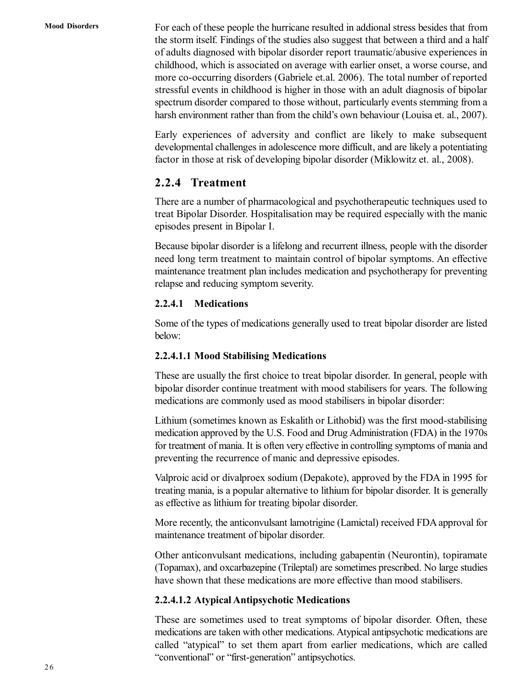For each of these people the hurricane resulted in addional stress besides that from the storm itself. Findings of the studies also suggest that between a third and a half of adults diagnosed with bipolar disorder report traumatic/abusive experiences in childhood, which is associated on average with earlier onset, a worse course, and more co-occurring disorders (Gabriele et.al. 2006). The total number of reported stressful events in childhood is higher in those with an adult diagnosis of bipolar spectrum disorder compared to those without, particularly events stemming from a harsh environment rather than from the child's own behaviour (Louisa et. al., 2007).

Early experiences of adversity and conflict are likely to make subsequent developmental challenges in adolescence more difficult, and are likely a potentiating factor in those at risk of developing bipolar disorder (Miklowitz et. al., 2008).

### **2.2.4 Treatment**

There are a number of pharmacological and psychotherapeutic techniques used to treat Bipolar Disorder. Hospitalisation may be required especially with the manic episodes present in Bipolar I.

Because bipolar disorder is a lifelong and recurrent illness, people with the disorder need long term treatment to maintain control of bipolar symptoms. An effective maintenance treatment plan includes medication and psychotherapy for preventing relapse and reducing symptom severity.

### **2.2.4.1 Medications**

Some of the types of medications generally used to treat bipolar disorder are listed below:

### **2.2.4.1.1 Mood Stabilising Medications**

These are usually the first choice to treat bipolar disorder. In general, people with bipolar disorder continue treatment with mood stabilisers for years. The following medications are commonly used as mood stabilisers in bipolar disorder:

Lithium (sometimes known as Eskalith or Lithobid) was the first mood-stabilising medication approved by the U.S. Food and Drug Administration (FDA) in the 1970s for treatment of mania. It is often very effective in controlling symptoms of mania and preventing the recurrence of manic and depressive episodes.

Valproic acid or divalproex sodium (Depakote), approved by the FDA in 1995 for treating mania, is a popular alternative to lithium for bipolar disorder. It is generally as effective as lithium for treating bipolar disorder.

More recently, the anticonvulsant lamotrigine (Lamictal) received FDA approval for maintenance treatment of bipolar disorder.

Other anticonvulsant medications, including gabapentin (Neurontin), topiramate (Topamax), and oxcarbazepine (Trileptal) are sometimes prescribed. No large studies have shown that these medications are more effective than mood stabilisers.

### **2.2.4.1.2 Atypical Antipsychotic Medications**

These are sometimes used to treat symptoms of bipolar disorder. Often, these medications are taken with other medications. Atypical antipsychotic medications are called "atypical" to set them apart from earlier medications, which are called "conventional" or "first-generation" antipsychotics.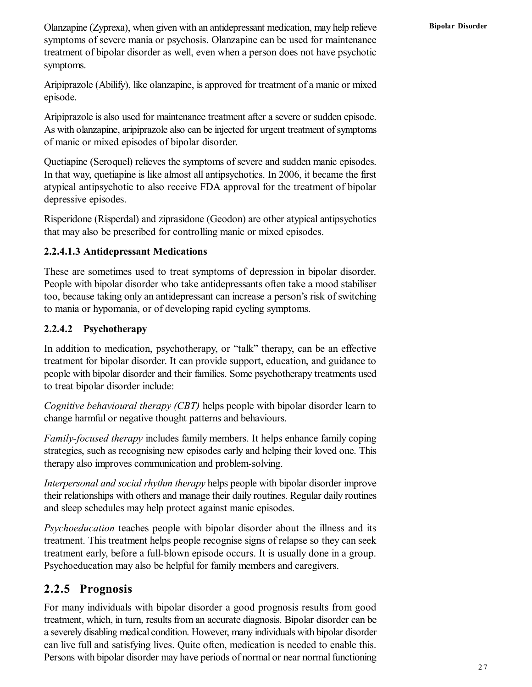Olanzapine (Zyprexa), when given with an antidepressant medication, may help relieve symptoms of severe mania or psychosis. Olanzapine can be used for maintenance treatment of bipolar disorder as well, even when a person does not have psychotic symptoms.

Aripiprazole (Abilify), like olanzapine, is approved for treatment of a manic or mixed episode.

Aripiprazole is also used for maintenance treatment after a severe or sudden episode. As with olanzapine, aripiprazole also can be injected for urgent treatment of symptoms of manic or mixed episodes of bipolar disorder.

Quetiapine (Seroquel) relieves the symptoms of severe and sudden manic episodes. In that way, quetiapine is like almost all antipsychotics. In 2006, it became the first atypical antipsychotic to also receive FDA approval for the treatment of bipolar depressive episodes.

Risperidone (Risperdal) and ziprasidone (Geodon) are other atypical antipsychotics that may also be prescribed for controlling manic or mixed episodes.

### **2.2.4.1.3 Antidepressant Medications**

These are sometimes used to treat symptoms of depression in bipolar disorder. People with bipolar disorder who take antidepressants often take a mood stabiliser too, because taking only an antidepressant can increase a person's risk of switching to mania or hypomania, or of developing rapid cycling symptoms.

### **2.2.4.2 Psychotherapy**

In addition to medication, psychotherapy, or "talk" therapy, can be an effective treatment for bipolar disorder. It can provide support, education, and guidance to people with bipolar disorder and their families. Some psychotherapy treatments used to treat bipolar disorder include:

*Cognitive behavioural therapy (CBT)* helps people with bipolar disorder learn to change harmful or negative thought patterns and behaviours.

*Family-focused therapy* includes family members. It helps enhance family coping strategies, such as recognising new episodes early and helping their loved one. This therapy also improves communication and problem-solving.

*Interpersonal and social rhythm therapy* helps people with bipolar disorder improve their relationships with others and manage their daily routines. Regular daily routines and sleep schedules may help protect against manic episodes.

*Psychoeducation* teaches people with bipolar disorder about the illness and its treatment. This treatment helps people recognise signs of relapse so they can seek treatment early, before a full-blown episode occurs. It is usually done in a group. Psychoeducation may also be helpful for family members and caregivers.

### **2.2.5 Prognosis**

For many individuals with bipolar disorder a good prognosis results from good treatment, which, in turn, results from an accurate diagnosis. Bipolar disorder can be a severely disabling medical condition. However, many individuals with bipolar disorder can live full and satisfying lives. Quite often, medication is needed to enable this. Persons with bipolar disorder may have periods of normal or near normal functioning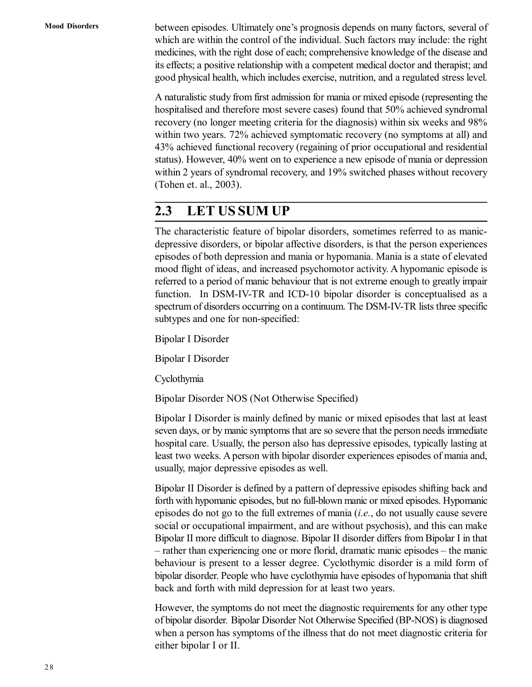between episodes. Ultimately one's prognosis depends on many factors, several of which are within the control of the individual. Such factors may include: the right medicines, with the right dose of each; comprehensive knowledge of the disease and its effects; a positive relationship with a competent medical doctor and therapist; and good physical health, which includes exercise, nutrition, and a regulated stress level.

A naturalistic study from first admission for mania or mixed episode (representing the hospitalised and therefore most severe cases) found that 50% achieved syndromal recovery (no longer meeting criteria for the diagnosis) within six weeks and 98% within two years. 72% achieved symptomatic recovery (no symptoms at all) and 43% achieved functional recovery (regaining of prior occupational and residential status). However, 40% went on to experience a new episode of mania or depression within 2 years of syndromal recovery, and 19% switched phases without recovery (Tohen et. al., 2003).

## **2.3 LET US SUM UP**

The characteristic feature of bipolar disorders, sometimes referred to as manicdepressive disorders, or bipolar affective disorders, is that the person experiences episodes of both depression and mania or hypomania. Mania is a state of elevated mood flight of ideas, and increased psychomotor activity. A hypomanic episode is referred to a period of manic behaviour that is not extreme enough to greatly impair function. In DSM-IV-TR and ICD-10 bipolar disorder is conceptualised as a spectrum of disorders occurring on a continuum. The DSM-IV-TR lists three specific subtypes and one for non-specified:

Bipolar I Disorder

Bipolar I Disorder

Cyclothymia

Bipolar Disorder NOS (Not Otherwise Specified)

Bipolar I Disorder is mainly defined by manic or mixed episodes that last at least seven days, or by manic symptoms that are so severe that the person needs immediate hospital care. Usually, the person also has depressive episodes, typically lasting at least two weeks. A person with bipolar disorder experiences episodes of mania and, usually, major depressive episodes as well.

Bipolar II Disorder is defined by a pattern of depressive episodes shifting back and forth with hypomanic episodes, but no full-blown manic or mixed episodes. Hypomanic episodes do not go to the full extremes of mania (*i.e.*, do not usually cause severe social or occupational impairment, and are without psychosis), and this can make Bipolar II more difficult to diagnose. Bipolar II disorder differs from Bipolar I in that – rather than experiencing one or more florid, dramatic manic episodes – the manic behaviour is present to a lesser degree. Cyclothymic disorder is a mild form of bipolar disorder. People who have cyclothymia have episodes of hypomania that shift back and forth with mild depression for at least two years.

However, the symptoms do not meet the diagnostic requirements for any other type of bipolar disorder*.* Bipolar Disorder Not Otherwise Specified (BP-NOS) is diagnosed when a person has symptoms of the illness that do not meet diagnostic criteria for either bipolar I or II.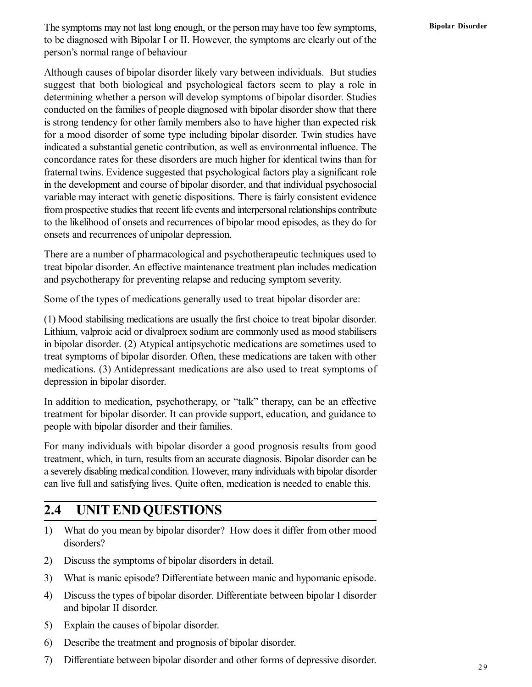The symptoms may not last long enough, or the person may have too few symptoms, to be diagnosed with Bipolar I or II. However, the symptoms are clearly out of the person's normal range of behaviour

Although causes of bipolar disorder likely vary between individuals. But studies suggest that both biological and psychological factors seem to play a role in determining whether a person will develop symptoms of bipolar disorder. Studies conducted on the families of people diagnosed with bipolar disorder show that there is strong tendency for other family members also to have higher than expected risk for a mood disorder of some type including bipolar disorder. Twin studies have indicated a substantial genetic contribution, as well as environmental influence. The concordance rates for these disorders are much higher for identical twins than for fraternal twins. Evidence suggested that psychological factors play a significant role in the development and course of bipolar disorder, and that individual psychosocial variable may interact with genetic dispositions. There is fairly consistent evidence from prospective studies that recent life events and interpersonal relationships contribute to the likelihood of onsets and recurrences of bipolar mood episodes, as they do for onsets and recurrences of unipolar depression.

There are a number of pharmacological and psychotherapeutic techniques used to treat bipolar disorder. An effective maintenance treatment plan includes medication and psychotherapy for preventing relapse and reducing symptom severity.

Some of the types of medications generally used to treat bipolar disorder are:

(1) Mood stabilising medications are usually the first choice to treat bipolar disorder. Lithium, valproic acid or divalproex sodium are commonly used as mood stabilisers in bipolar disorder. (2) Atypical antipsychotic medications are sometimes used to treat symptoms of bipolar disorder. Often, these medications are taken with other medications. (3) Antidepressant medications are also used to treat symptoms of depression in bipolar disorder.

In addition to medication, psychotherapy, or "talk" therapy, can be an effective treatment for bipolar disorder. It can provide support, education, and guidance to people with bipolar disorder and their families.

For many individuals with bipolar disorder a good prognosis results from good treatment, which, in turn, results from an accurate diagnosis. Bipolar disorder can be a severely disabling medical condition. However, many individuals with bipolar disorder can live full and satisfying lives. Quite often, medication is needed to enable this.

# **2.4 UNIT END QUESTIONS**

- 1) What do you mean by bipolar disorder? How does it differ from other mood disorders?
- 2) Discuss the symptoms of bipolar disorders in detail.
- 3) What is manic episode? Differentiate between manic and hypomanic episode.
- 4) Discuss the types of bipolar disorder. Differentiate between bipolar I disorder and bipolar II disorder.
- 5) Explain the causes of bipolar disorder.
- 6) Describe the treatment and prognosis of bipolar disorder.
- 7) Differentiate between bipolar disorder and other forms of depressive disorder.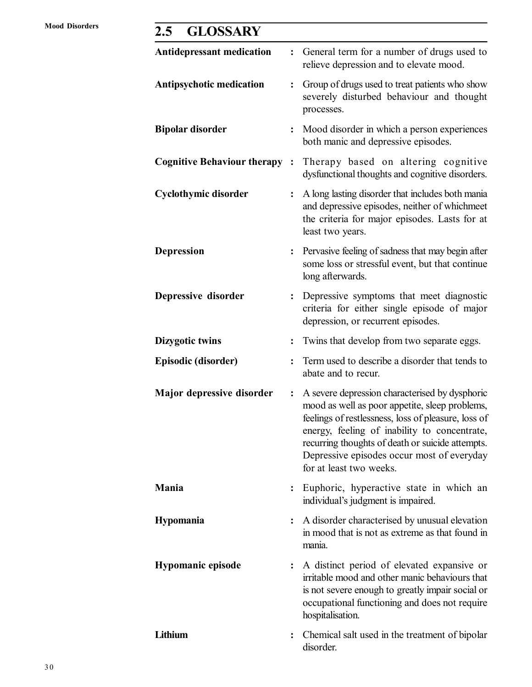# **2.5 GLOSSARY**

| <b>Antidepressant medication</b>    |                | General term for a number of drugs used to<br>relieve depression and to elevate mood.                                                                                                                                                                                                                                                |
|-------------------------------------|----------------|--------------------------------------------------------------------------------------------------------------------------------------------------------------------------------------------------------------------------------------------------------------------------------------------------------------------------------------|
| <b>Antipsychotic medication</b>     | :              | Group of drugs used to treat patients who show<br>severely disturbed behaviour and thought<br>processes.                                                                                                                                                                                                                             |
| <b>Bipolar disorder</b>             |                | Mood disorder in which a person experiences<br>both manic and depressive episodes.                                                                                                                                                                                                                                                   |
| <b>Cognitive Behaviour therapy:</b> |                | Therapy based on altering cognitive<br>dysfunctional thoughts and cognitive disorders.                                                                                                                                                                                                                                               |
| <b>Cyclothymic disorder</b>         |                | A long lasting disorder that includes both mania<br>and depressive episodes, neither of whichmeet<br>the criteria for major episodes. Lasts for at<br>least two years.                                                                                                                                                               |
| <b>Depression</b>                   |                | Pervasive feeling of sadness that may begin after<br>some loss or stressful event, but that continue<br>long afterwards.                                                                                                                                                                                                             |
| Depressive disorder                 |                | Depressive symptoms that meet diagnostic<br>criteria for either single episode of major<br>depression, or recurrent episodes.                                                                                                                                                                                                        |
| Dizygotic twins                     | $\ddot{\cdot}$ | Twins that develop from two separate eggs.                                                                                                                                                                                                                                                                                           |
| Episodic (disorder)                 |                | Term used to describe a disorder that tends to<br>abate and to recur.                                                                                                                                                                                                                                                                |
| Major depressive disorder           | :              | A severe depression characterised by dysphoric<br>mood as well as poor appetite, sleep problems,<br>feelings of restlessness, loss of pleasure, loss of<br>energy, feeling of inability to concentrate,<br>recurring thoughts of death or suicide attempts.<br>Depressive episodes occur most of everyday<br>for at least two weeks. |
| <b>Mania</b>                        |                | Euphoric, hyperactive state in which an<br>individual's judgment is impaired.                                                                                                                                                                                                                                                        |
| <b>Hypomania</b>                    |                | A disorder characterised by unusual elevation<br>in mood that is not as extreme as that found in<br>mania.                                                                                                                                                                                                                           |
| <b>Hypomanic episode</b>            |                | A distinct period of elevated expansive or<br>irritable mood and other manic behaviours that<br>is not severe enough to greatly impair social or<br>occupational functioning and does not require<br>hospitalisation.                                                                                                                |
| Lithium                             |                | Chemical salt used in the treatment of bipolar<br>disorder.                                                                                                                                                                                                                                                                          |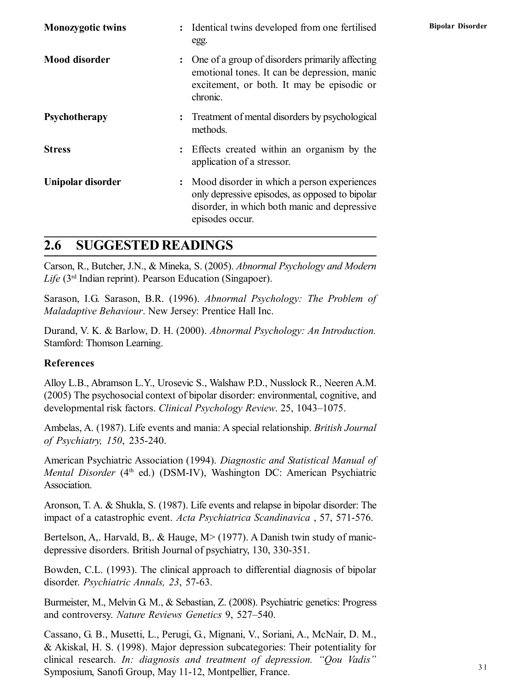| <b>Monozygotic twins</b> | $\ddot{\cdot}$       | Identical twins developed from one fertilised<br>egg.                                                                                                             |
|--------------------------|----------------------|-------------------------------------------------------------------------------------------------------------------------------------------------------------------|
| <b>Mood disorder</b>     | $\ddot{\cdot}$       | One of a group of disorders primarily affecting<br>emotional tones. It can be depression, manic<br>excitement, or both. It may be episodic or<br>chronic.         |
| <b>Psychotherapy</b>     | $\ddot{\phantom{a}}$ | Treatment of mental disorders by psychological<br>methods.                                                                                                        |
| <b>Stress</b>            | $\ddot{\cdot}$       | Effects created within an organism by the<br>application of a stressor.                                                                                           |
| Unipolar disorder        | $\ddot{\cdot}$       | Mood disorder in which a person experiences<br>only depressive episodes, as opposed to bipolar<br>disorder, in which both manic and depressive<br>episodes occur. |

## **2.6 SUGGESTED READINGS**

Carson, R., Butcher, J.N., & Mineka, S. (2005). *Abnormal Psychology and Modern Life* (3rd Indian reprint). Pearson Education (Singapoer).

Sarason, I.G. Sarason, B.R. (1996). *Abnormal Psychology: The Problem of Maladaptive Behaviour*. New Jersey: Prentice Hall Inc.

Durand, V. K. & Barlow, D. H. (2000). *Abnormal Psychology: An Introduction.* Stamford: Thomson Learning.

#### **References**

Alloy L.B., Abramson L.Y., Urosevic S., Walshaw P.D., Nusslock R., Neeren A.M. (2005) The psychosocial context of bipolar disorder: environmental, cognitive, and developmental risk factors. *Clinical Psychology Review*. 25, 1043–1075.

Ambelas, A. (1987). Life events and mania: A special relationship. *British Journal of Psychiatry, 150*, 235-240.

American Psychiatric Association (1994). *Diagnostic and Statistical Manual of Mental Disorder* (4<sup>th</sup> ed.) (DSM-IV), Washington DC: American Psychiatric Association.

Aronson, T. A. & Shukla, S. (1987). Life events and relapse in bipolar disorder: The impact of a catastrophic event. *Acta Psychiatrica Scandinavica* , 57, 571-576.

Bertelson, A,. Harvald, B,. & Hauge, M > (1977). A Danish twin study of manicdepressive disorders. British Journal of psychiatry, 130, 330-351.

Bowden, C.L. (1993). The clinical approach to differential diagnosis of bipolar disorder. *Psychiatric Annals, 23*, 57-63.

Burmeister, M., Melvin G. M., & Sebastian, Z. (2008). Psychiatric genetics: Progress and controversy. *Nature Reviews Genetics* 9, 527–540.

Cassano, G. B., Musetti, L., Perugi, G., Mignani, V., Soriani, A., McNair, D. M., & Akiskal, H. S. (1998). Major depression subcategories: Their potentiality for clinical research. *In: diagnosis and treatment of depression. "Qou Vadis"* Symposium, Sanofi Group, May 11-12, Montpellier, France.

**Bipolar Disorder**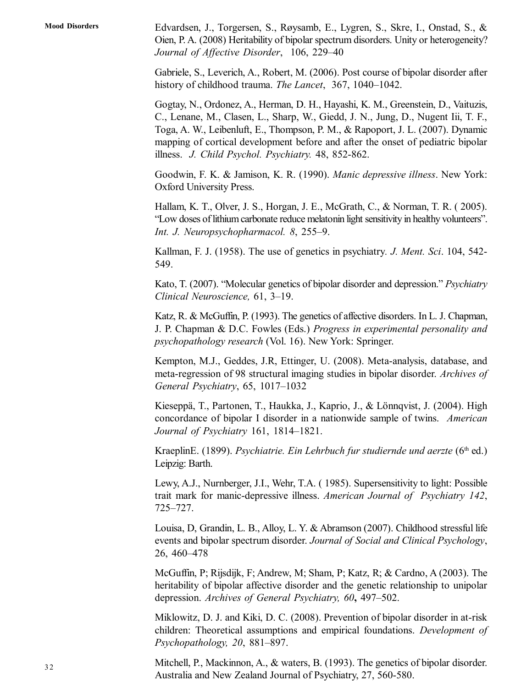Edvardsen, J., Torgersen, S., Røysamb, E., Lygren, S., Skre, I., Onstad, S., & Oien, P. A. (2008) Heritability of bipolar spectrum disorders. Unity or heterogeneity? *Journal of Affective Disorder*, 106, 229–40

Gabriele, S., Leverich, A., Robert, M. (2006). Post course of bipolar disorder after history of childhood trauma. *The Lancet*, 367, 1040–1042.

Gogtay, N., Ordonez, A., Herman, D. H., Hayashi, K. M., Greenstein, D., Vaituzis, C., Lenane, M., Clasen, L., Sharp, W., Giedd, J. N., Jung, D., Nugent Iii, T. F., Toga, A. W., Leibenluft, E., Thompson, P. M., & Rapoport, J. L. (2007). Dynamic mapping of cortical development before and after the onset of pediatric bipolar illness. *J. Child Psychol. Psychiatry.* 48, 852-862.

Goodwin, F. K. & Jamison, K. R. (1990). *Manic depressive illness*. New York: Oxford University Press.

Hallam, K. T., Olver, J. S., Horgan, J. E., McGrath, C., & Norman, T. R. ( 2005). "Low doses of lithium carbonate reduce melatonin light sensitivity in healthy volunteers". *Int. J. Neuropsychopharmacol. 8*, 255–9.

Kallman, F. J. (1958). The use of genetics in psychiatry*. J. Ment. Sci*. 104, 542- 549.

Kato, T. (2007). "Molecular genetics of bipolar disorder and depression." *Psychiatry Clinical Neuroscience,* 61, 3–19.

Katz, R. & McGuffin, P. (1993). The genetics of affective disorders. In L. J. Chapman, J. P. Chapman & D.C. Fowles (Eds.) *Progress in experimental personality and psychopathology research* (Vol. 16). New York: Springer.

Kempton, M.J., Geddes, J.R, Ettinger, U. (2008). Meta-analysis, database, and meta-regression of 98 structural imaging studies in bipolar disorder. *Archives of General Psychiatry*, 65, 1017–1032

Kieseppä, T., Partonen, T., Haukka, J., Kaprio, J., & Lönnqvist, J. (2004). High concordance of bipolar I disorder in a nationwide sample of twins. *American Journal of Psychiatry* 161, 1814–1821.

KraeplinE. (1899). *Psychiatrie. Ein Lehrbuch fur studiernde und aerzte* (6<sup>th</sup> ed.) Leipzig: Barth.

Lewy, A.J., Nurnberger, J.I., Wehr, T.A. ( 1985). Supersensitivity to light: Possible trait mark for manic-depressive illness. *American Journal of Psychiatry 142*, 725–727.

Louisa, D, Grandin, L. B., Alloy, L. Y. & Abramson (2007). Childhood stressful life events and bipolar spectrum disorder. *Journal of Social and Clinical Psychology*, 26, 460–478

McGuffin, P; Rijsdijk, F; Andrew, M; Sham, P; Katz, R; & Cardno, A (2003). The heritability of bipolar affective disorder and the genetic relationship to unipolar depression. *Archives of General Psychiatry, 60***,** 497–502.

Miklowitz, D. J. and Kiki, D. C. (2008). Prevention of bipolar disorder in at-risk children: Theoretical assumptions and empirical foundations. *Development of Psychopathology, 20*, 881–897.

Mitchell, P., Mackinnon, A., & waters, B. (1993). The genetics of bipolar disorder. Australia and New Zealand Journal of Psychiatry, 27, 560-580.